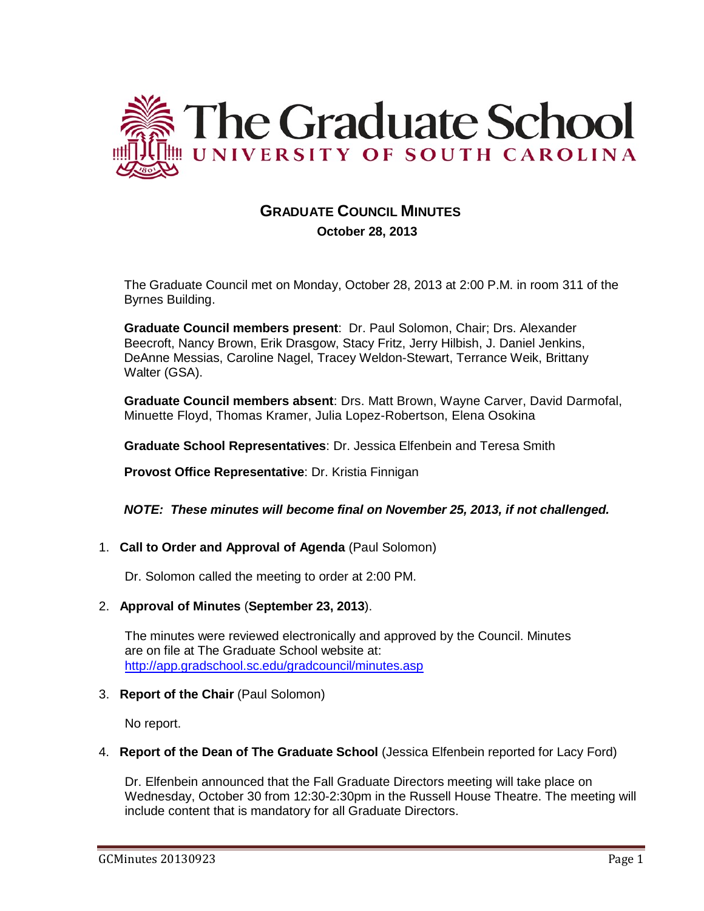

# **GRADUATE COUNCIL MINUTES**

 **October 28, 2013**

The Graduate Council met on Monday, October 28, 2013 at 2:00 P.M. in room 311 of the Byrnes Building.

**Graduate Council members present**: Dr. Paul Solomon, Chair; Drs. Alexander Beecroft, Nancy Brown, Erik Drasgow, Stacy Fritz, Jerry Hilbish, J. Daniel Jenkins, DeAnne Messias, Caroline Nagel, Tracey Weldon-Stewart, Terrance Weik, Brittany Walter (GSA).

**Graduate Council members absent**: Drs. Matt Brown, Wayne Carver, David Darmofal, Minuette Floyd, Thomas Kramer, Julia Lopez-Robertson, Elena Osokina

**Graduate School Representatives**: Dr. Jessica Elfenbein and Teresa Smith

**Provost Office Representative**: Dr. Kristia Finnigan

*NOTE: These minutes will become final on November 25, 2013, if not challenged.*

1. **Call to Order and Approval of Agenda** (Paul Solomon)

Dr. Solomon called the meeting to order at 2:00 PM.

2. **Approval of Minutes** (**September 23, 2013**).

The minutes were reviewed electronically and approved by the Council. Minutes are on file at The Graduate School website at: <http://app.gradschool.sc.edu/gradcouncil/minutes.asp>

3. **Report of the Chair** (Paul Solomon)

No report.

4. **Report of the Dean of The Graduate School** (Jessica Elfenbein reported for Lacy Ford)

Dr. Elfenbein announced that the Fall Graduate Directors meeting will take place on Wednesday, October 30 from 12:30-2:30pm in the Russell House Theatre. The meeting will include content that is mandatory for all Graduate Directors.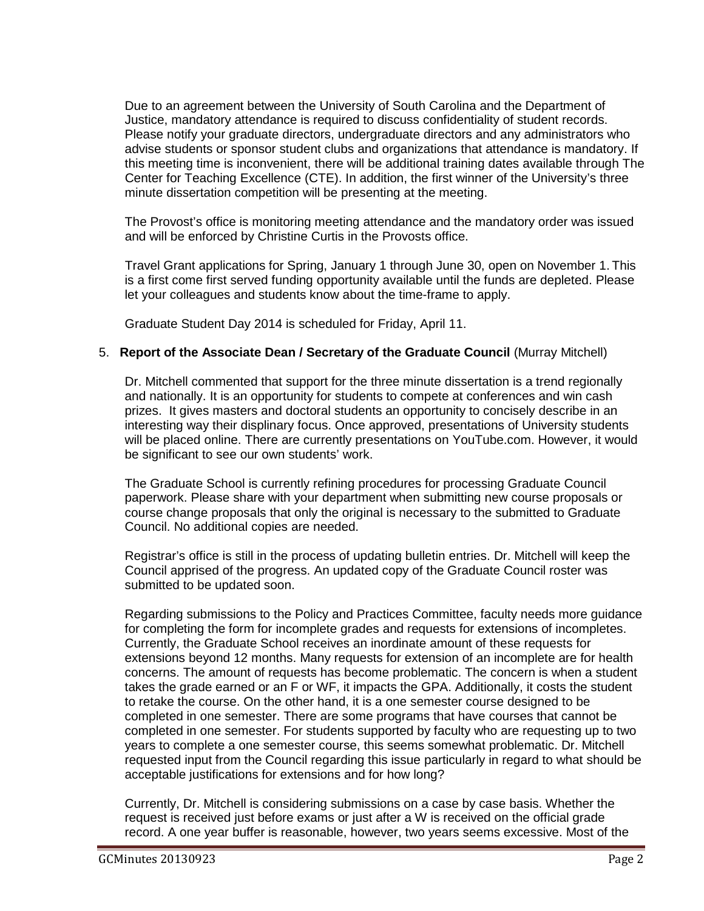Due to an agreement between the University of South Carolina and the Department of Justice, mandatory attendance is required to discuss confidentiality of student records. Please notify your graduate directors, undergraduate directors and any administrators who advise students or sponsor student clubs and organizations that attendance is mandatory. If this meeting time is inconvenient, there will be additional training dates available through The Center for Teaching Excellence (CTE). In addition, the first winner of the University's three minute dissertation competition will be presenting at the meeting.

The Provost's office is monitoring meeting attendance and the mandatory order was issued and will be enforced by Christine Curtis in the Provosts office.

Travel Grant applications for Spring, January 1 through June 30, open on November 1. This is a first come first served funding opportunity available until the funds are depleted. Please let your colleagues and students know about the time-frame to apply.

Graduate Student Day 2014 is scheduled for Friday, April 11.

# 5. **Report of the Associate Dean / Secretary of the Graduate Council** (Murray Mitchell)

Dr. Mitchell commented that support for the three minute dissertation is a trend regionally and nationally. It is an opportunity for students to compete at conferences and win cash prizes. It gives masters and doctoral students an opportunity to concisely describe in an interesting way their displinary focus. Once approved, presentations of University students will be placed online. There are currently presentations on YouTube.com. However, it would be significant to see our own students' work.

The Graduate School is currently refining procedures for processing Graduate Council paperwork. Please share with your department when submitting new course proposals or course change proposals that only the original is necessary to the submitted to Graduate Council. No additional copies are needed.

Registrar's office is still in the process of updating bulletin entries. Dr. Mitchell will keep the Council apprised of the progress. An updated copy of the Graduate Council roster was submitted to be updated soon.

Regarding submissions to the Policy and Practices Committee, faculty needs more guidance for completing the form for incomplete grades and requests for extensions of incompletes. Currently, the Graduate School receives an inordinate amount of these requests for extensions beyond 12 months. Many requests for extension of an incomplete are for health concerns. The amount of requests has become problematic. The concern is when a student takes the grade earned or an F or WF, it impacts the GPA. Additionally, it costs the student to retake the course. On the other hand, it is a one semester course designed to be completed in one semester. There are some programs that have courses that cannot be completed in one semester. For students supported by faculty who are requesting up to two years to complete a one semester course, this seems somewhat problematic. Dr. Mitchell requested input from the Council regarding this issue particularly in regard to what should be acceptable justifications for extensions and for how long?

Currently, Dr. Mitchell is considering submissions on a case by case basis. Whether the request is received just before exams or just after a W is received on the official grade record. A one year buffer is reasonable, however, two years seems excessive. Most of the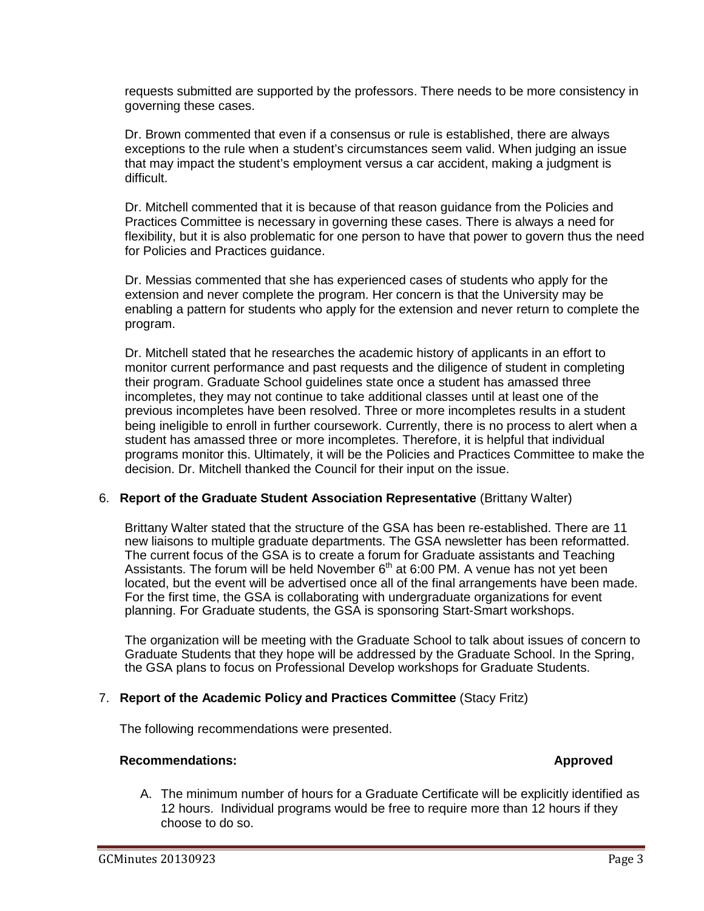requests submitted are supported by the professors. There needs to be more consistency in governing these cases.

Dr. Brown commented that even if a consensus or rule is established, there are always exceptions to the rule when a student's circumstances seem valid. When judging an issue that may impact the student's employment versus a car accident, making a judgment is difficult.

Dr. Mitchell commented that it is because of that reason guidance from the Policies and Practices Committee is necessary in governing these cases. There is always a need for flexibility, but it is also problematic for one person to have that power to govern thus the need for Policies and Practices guidance.

Dr. Messias commented that she has experienced cases of students who apply for the extension and never complete the program. Her concern is that the University may be enabling a pattern for students who apply for the extension and never return to complete the program.

Dr. Mitchell stated that he researches the academic history of applicants in an effort to monitor current performance and past requests and the diligence of student in completing their program. Graduate School guidelines state once a student has amassed three incompletes, they may not continue to take additional classes until at least one of the previous incompletes have been resolved. Three or more incompletes results in a student being ineligible to enroll in further coursework. Currently, there is no process to alert when a student has amassed three or more incompletes. Therefore, it is helpful that individual programs monitor this. Ultimately, it will be the Policies and Practices Committee to make the decision. Dr. Mitchell thanked the Council for their input on the issue.

### 6. **Report of the Graduate Student Association Representative** (Brittany Walter)

Brittany Walter stated that the structure of the GSA has been re-established. There are 11 new liaisons to multiple graduate departments. The GSA newsletter has been reformatted. The current focus of the GSA is to create a forum for Graduate assistants and Teaching Assistants. The forum will be held November  $6<sup>th</sup>$  at 6:00 PM. A venue has not yet been located, but the event will be advertised once all of the final arrangements have been made. For the first time, the GSA is collaborating with undergraduate organizations for event planning. For Graduate students, the GSA is sponsoring Start-Smart workshops.

The organization will be meeting with the Graduate School to talk about issues of concern to Graduate Students that they hope will be addressed by the Graduate School. In the Spring, the GSA plans to focus on Professional Develop workshops for Graduate Students.

### 7. **Report of the Academic Policy and Practices Committee** (Stacy Fritz)

The following recommendations were presented.

#### **Recommendations: Approved**

A. The minimum number of hours for a Graduate Certificate will be explicitly identified as 12 hours. Individual programs would be free to require more than 12 hours if they choose to do so.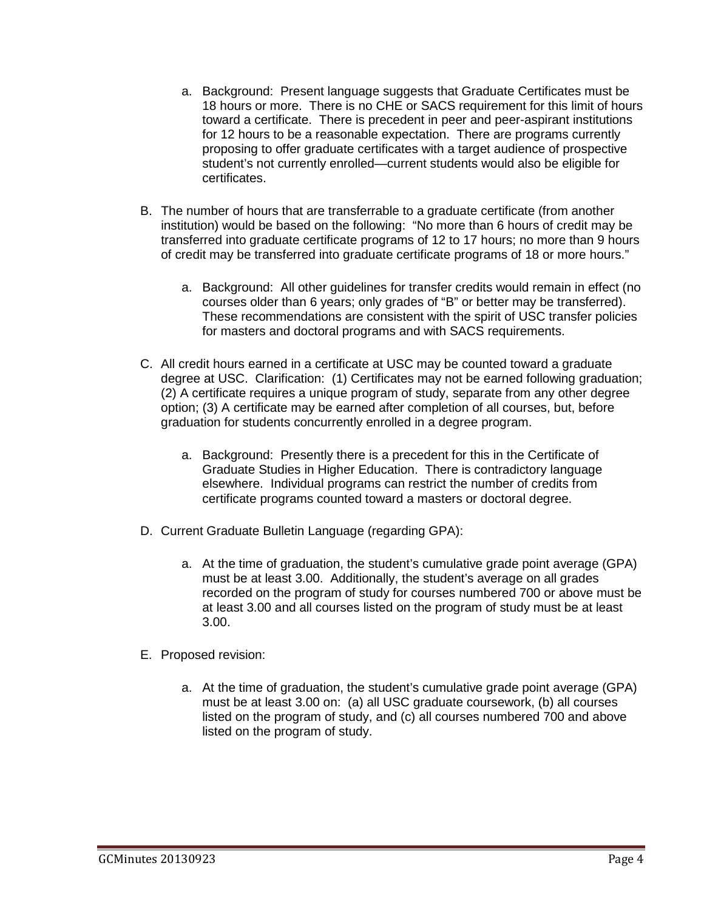- a. Background: Present language suggests that Graduate Certificates must be 18 hours or more. There is no CHE or SACS requirement for this limit of hours toward a certificate. There is precedent in peer and peer-aspirant institutions for 12 hours to be a reasonable expectation. There are programs currently proposing to offer graduate certificates with a target audience of prospective student's not currently enrolled—current students would also be eligible for certificates.
- B. The number of hours that are transferrable to a graduate certificate (from another institution) would be based on the following: "No more than 6 hours of credit may be transferred into graduate certificate programs of 12 to 17 hours; no more than 9 hours of credit may be transferred into graduate certificate programs of 18 or more hours."
	- a. Background: All other guidelines for transfer credits would remain in effect (no courses older than 6 years; only grades of "B" or better may be transferred). These recommendations are consistent with the spirit of USC transfer policies for masters and doctoral programs and with SACS requirements.
- C. All credit hours earned in a certificate at USC may be counted toward a graduate degree at USC. Clarification: (1) Certificates may not be earned following graduation; (2) A certificate requires a unique program of study, separate from any other degree option; (3) A certificate may be earned after completion of all courses, but, before graduation for students concurrently enrolled in a degree program.
	- a. Background: Presently there is a precedent for this in the Certificate of Graduate Studies in Higher Education. There is contradictory language elsewhere. Individual programs can restrict the number of credits from certificate programs counted toward a masters or doctoral degree.
- D. Current Graduate Bulletin Language (regarding GPA):
	- a. At the time of graduation, the student's cumulative grade point average (GPA) must be at least 3.00. Additionally, the student's average on all grades recorded on the program of study for courses numbered 700 or above must be at least 3.00 and all courses listed on the program of study must be at least 3.00.
- E. Proposed revision:
	- a. At the time of graduation, the student's cumulative grade point average (GPA) must be at least 3.00 on: (a) all USC graduate coursework, (b) all courses listed on the program of study, and (c) all courses numbered 700 and above listed on the program of study.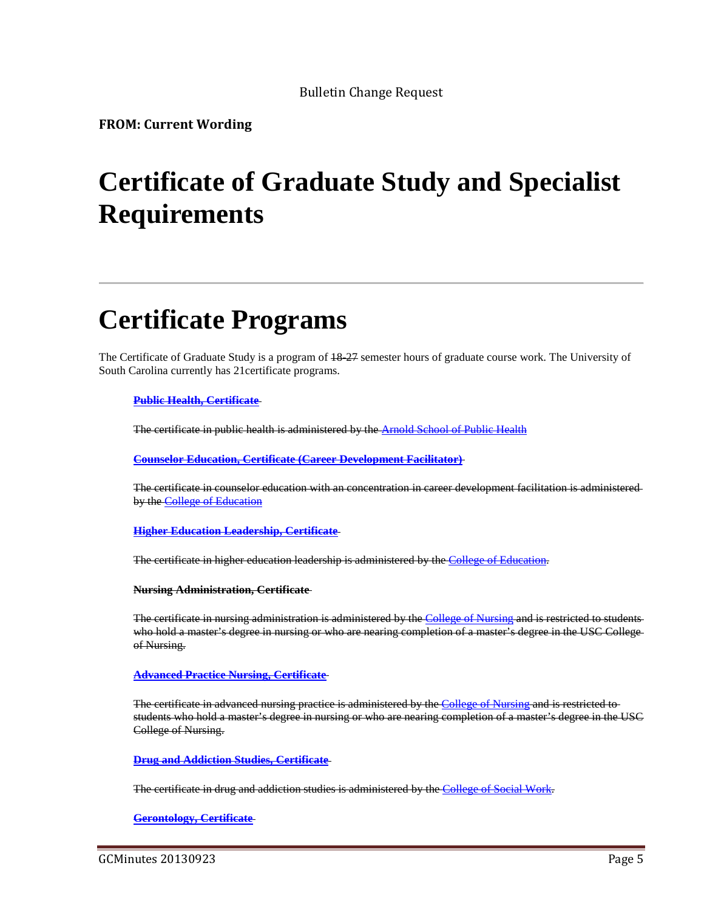Bulletin Change Request

**FROM: Current Wording**

# **Certificate of Graduate Study and Specialist Requirements**

# **Certificate Programs**

The Certificate of Graduate Study is a program of  $18-27$  semester hours of graduate course work. The University of South Carolina currently has 21certificate programs.

**[Public Health, Certificate](http://bulletin.sc.edu/preview_program.php?catoid=62&poid=5731)**

The certificate in public health is administered by the **Arnold School of Public Health** 

**[Counselor Education, Certificate \(Career Development Facilitator\)](http://bulletin.sc.edu/preview_program.php?catoid=62&poid=5453)**

The certificate in counselor education with an concentration in career development facilitation is administered by the [College of Education](http://bulletin.sc.edu/preview_entity.php?catoid=62&ent_oid=1856)

**[Higher Education Leadership, Certificate](http://bulletin.sc.edu/preview_program.php?catoid=62&poid=5570)**

The certificate in higher education leadership is administered by the [College of Education.](http://bulletin.sc.edu/preview_entity.php?catoid=62&ent_oid=1856)

**Nursing Administration, Certificate** 

The certificate in nursing administration is administered by the [College of Nursing](http://bulletin.sc.edu/preview_entity.php?catoid=62&ent_oid=1889) and is restricted to students who hold a master's degree in nursing or who are nearing completion of a master's degree in the USC Collegeof Nursing.

**[Advanced Practice Nursing,](http://bulletin.sc.edu/preview_program.php?catoid=62&poid=5345) Certificate**

The certificate in advanced nursing practice is administered by the [College of Nursing](http://bulletin.sc.edu/preview_entity.php?catoid=62&ent_oid=1889) and is restricted tostudents who hold a master's degree in nursing or who are nearing completion of a master's degree in the USC College of Nursing.

**[Drug and Addiction Studies, Certificate](http://bulletin.sc.edu/preview_program.php?catoid=62&poid=5466)**

The certificate in drug and addiction studies is administered by the [College of Social Work.](http://bulletin.sc.edu/preview_entity.php?catoid=62&ent_oid=1900)

**[Gerontology, Certificate](http://bulletin.sc.edu/preview_program.php?catoid=62&poid=5554)**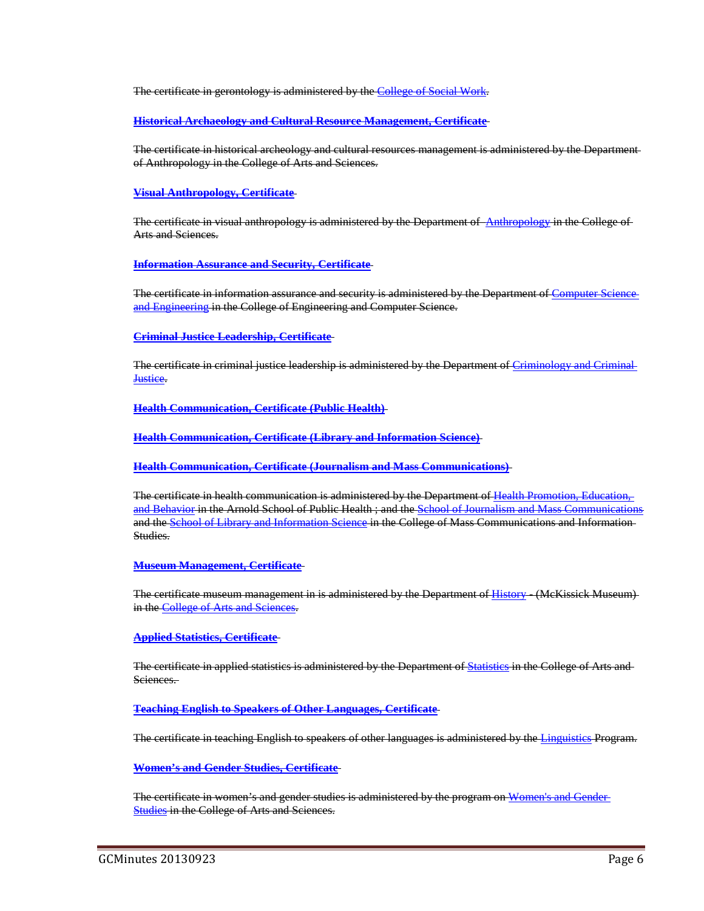The certificate in gerontology is administered by the [College of Social Work.](http://bulletin.sc.edu/preview_entity.php?catoid=62&ent_oid=1900)

**[Historical Archaeology and Cultural Resource Management, Certificate](http://bulletin.sc.edu/preview_program.php?catoid=62&poid=5571)**

The certificate in historical archeology and cultural resources management is administered by the Department of Anthropology in the College of Arts and Sciences.

#### **[Visual Anthropology, Certificate](http://bulletin.sc.edu/preview_program.php?catoid=62&poid=5794)**

The certificate in visual anthropology is administered by the Department of [Anthropology](http://bulletin.sc.edu/preview_entity.php?catoid=62&ent_oid=1830) in the College of Arts and Sciences.

#### **[Information Assurance and Security, Certificate](http://bulletin.sc.edu/preview_program.php?catoid=62&poid=5583)**

The certificate in information assurance and security is administered by the Department of [Computer Science](http://bulletin.sc.edu/preview_entity.php?catoid=62&ent_oid=1866)  [and Engineering](http://bulletin.sc.edu/preview_entity.php?catoid=62&ent_oid=1866) in the College of Engineering and Computer Science.

#### **[Criminal Justice Leadership, Certificate](http://bulletin.sc.edu/preview_program.php?catoid=62&poid=5457)**

The certificate in criminal justice leadership is administered by the Department of Criminology and Crimir [Justice.](http://bulletin.sc.edu/preview_entity.php?catoid=62&ent_oid=1834)

**[Health Communication, Certificate \(Public Health\)](http://bulletin.sc.edu/preview_program.php?catoid=62&poid=5557)**

**[Health Communication, Certificate \(Library and Information Science\)](http://bulletin.sc.edu/preview_program.php?catoid=62&poid=5556)**

**[Health Communication, Certificate \(Journalism and Mass Communications\)](http://bulletin.sc.edu/preview_program.php?catoid=62&poid=5555)**

The certificate in health communication is administered by the Department o[f Health Promotion, Education,](http://bulletin.sc.edu/preview_entity.php?catoid=62&ent_oid=1897)  [and Behavior](http://bulletin.sc.edu/preview_entity.php?catoid=62&ent_oid=1897) in the Arnold School of Public Health ; and the [School of Journalism and Mass Communications](http://bulletin.sc.edu/preview_entity.php?catoid=62&ent_oid=1876) and th[e School of Library and Information Science](http://bulletin.sc.edu/preview_entity.php?catoid=62&ent_oid=1877) in the College of Mass Communications and Information-Studies.

#### **[Museum Management, Certificate](http://bulletin.sc.edu/preview_program.php?catoid=62&poid=5656)**

The certificate museum management in is administered by the Department of [History](http://bulletin.sc.edu/preview_entity.php?catoid=62&ent_oid=1840) - (McKissick Museum) in the [College of Arts and Sciences.](http://bulletin.sc.edu/preview_entity.php?catoid=62&ent_oid=1828)

#### **[Applied Statistics, Certificate](http://bulletin.sc.edu/preview_program.php?catoid=62&poid=5356)**

The certificate in applied statistics is administered by the Department o[f Statistics](http://bulletin.sc.edu/preview_entity.php?catoid=62&ent_oid=1851) in the College of Arts and Sciences.

**[Teaching English to Speakers of Other Languages, Certificate](http://bulletin.sc.edu/preview_program.php?catoid=62&poid=5784)**

The certificate in teaching English to speakers of other languages is administered by the [Linguistics](http://bulletin.sc.edu/preview_entity.php?catoid=62&ent_oid=1842) Program.

**[Women's and Gender Studies, Certificate](http://bulletin.sc.edu/preview_program.php?catoid=62&poid=5798)**

The certificate in women's and gender studies is administered by the program on [Women's and Gender](http://bulletin.sc.edu/preview_entity.php?catoid=62&ent_oid=1853)  **[Studies](http://bulletin.sc.edu/preview_entity.php?catoid=62&ent_oid=1853) in the College of Arts and Sciences.**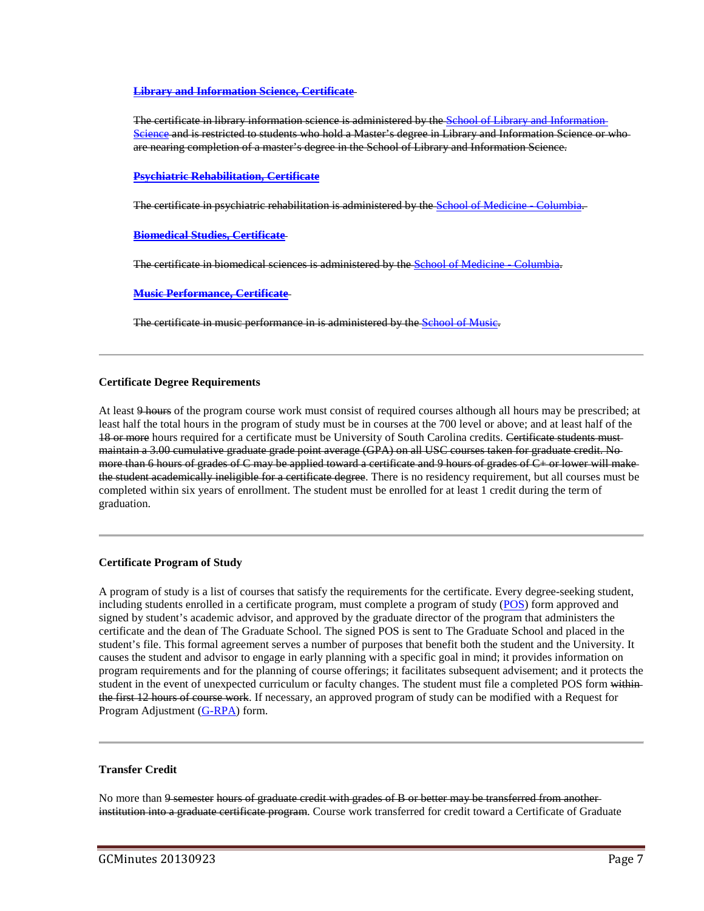#### **[Library and Information Science, Certificate](http://bulletin.sc.edu/preview_program.php?catoid=62&poid=5622)**

The certificate in library information science is administered by the [School of Library and Information](http://bulletin.sc.edu/preview_entity.php?catoid=62&ent_oid=1877)  [Science](http://bulletin.sc.edu/preview_entity.php?catoid=62&ent_oid=1877) and is restricted to students who hold a Master's degree in Library and Information Science or who are nearing completion of a master's degree in the School of Library and Information Science.

#### **[Psychiatric Rehabilitation, Certificate](http://bulletin.sc.edu/preview_program.php?catoid=62&poid=5723)**

The certificate in psychiatric rehabilitation is administered by the School of Medicine Columbia.

#### **[Biomedical Studies, Certificate](http://bulletin.sc.edu/preview_program.php?catoid=62&poid=5402)**

The certificate in biomedical sciences is administered by the School of Medicine Columbia.

**[Music Performance, Certificate](http://bulletin.sc.edu/preview_program.php?catoid=62&poid=5667)**

The certificate in music performance in is administered by the **School of Music**.

#### **Certificate Degree Requirements**

At least 9 hours of the program course work must consist of required courses although all hours may be prescribed; at least half the total hours in the program of study must be in courses at the 700 level or above; and at least half of the 18 or more hours required for a certificate must be University of South Carolina credits. Certificate students mustmaintain a 3.00 cumulative graduate grade point average (GPA) on all USC courses taken for graduate credit. No more than 6 hours of grades of C may be applied toward a certificate and 9 hours of grades of C+ or lower will make the student academically ineligible for a certificate degree. There is no residency requirement, but all courses must be completed within six years of enrollment. The student must be enrolled for at least 1 credit during the term of graduation.

#### **Certificate Program of Study**

A program of study is a list of courses that satisfy the requirements for the certificate. Every degree-seeking student, including students enrolled in a certificate program, must complete a program of study [\(POS\)](http://gradschool.sc.edu/DocLibrary/documents/mastersprogramofstudy.pdf) form approved and signed by student's academic advisor, and approved by the graduate director of the program that administers the certificate and the dean of The Graduate School. The signed POS is sent to The Graduate School and placed in the student's file. This formal agreement serves a number of purposes that benefit both the student and the University. It causes the student and advisor to engage in early planning with a specific goal in mind; it provides information on program requirements and for the planning of course offerings; it facilitates subsequent advisement; and it protects the student in the event of unexpected curriculum or faculty changes. The student must file a completed POS form withinthe first 12 hours of course work. If necessary, an approved program of study can be modified with a Request for Program Adjustment [\(G-RPA\)](http://gradschool.sc.edu/DocLibrary/documents/programadjustmentform.pdf) form.

#### **Transfer Credit**

No more than 9 semester hours of graduate credit with grades of B or better may be transferred from anotherinstitution into a graduate certificate program. Course work transferred for credit toward a Certificate of Graduate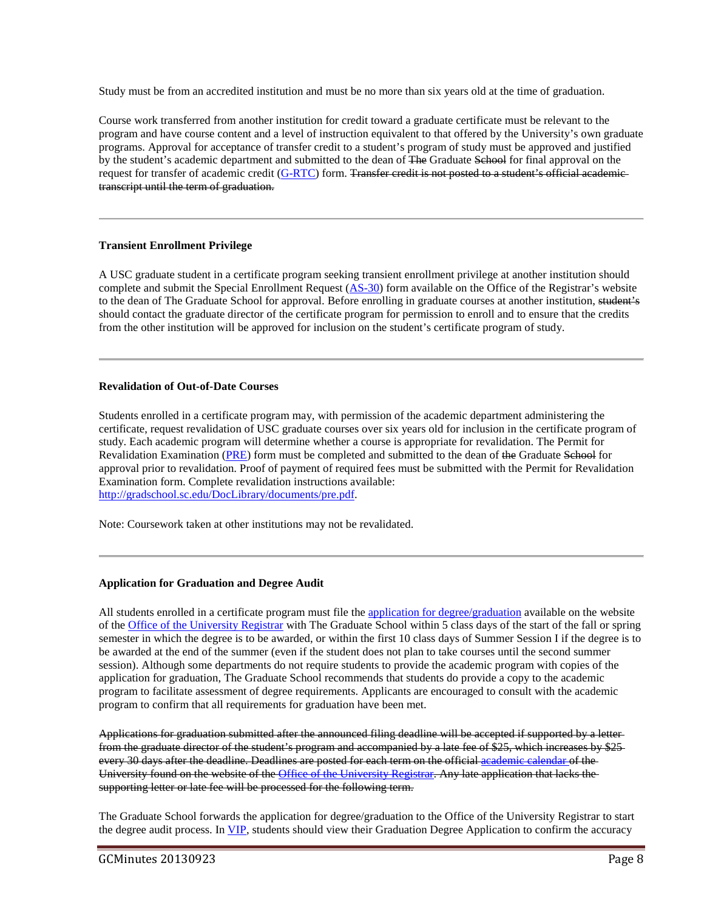Study must be from an accredited institution and must be no more than six years old at the time of graduation.

Course work transferred from another institution for credit toward a graduate certificate must be relevant to the program and have course content and a level of instruction equivalent to that offered by the University's own graduate programs. Approval for acceptance of transfer credit to a student's program of study must be approved and justified by the student's academic department and submitted to the dean of The Graduate School for final approval on the request for transfer of academic credit [\(G-RTC\)](http://gradschool.sc.edu/DocLibrary/documents/G-RTC.pdf) form. Transfer credit is not posted to a student's official academictranscript until the term of graduation.

#### **Transient Enrollment Privilege**

A USC graduate student in a certificate program seeking transient enrollment privilege at another institution should complete and submit the Special Enrollment Request [\(AS-30\)](http://registrar.sc.edu/pdf/AS-30e.pdf) form available on the Office of the Registrar's website to the dean of The Graduate School for approval. Before enrolling in graduate courses at another institution, student's should contact the graduate director of the certificate program for permission to enroll and to ensure that the credits from the other institution will be approved for inclusion on the student's certificate program of study.

#### **Revalidation of Out-of-Date Courses**

Students enrolled in a certificate program may, with permission of the academic department administering the certificate, request revalidation of USC graduate courses over six years old for inclusion in the certificate program of study. Each academic program will determine whether a course is appropriate for revalidation. The Permit for Revalidation Examination [\(PRE\)](http://gradschool.sc.edu/DocLibrary/documents/pre.pdf) form must be completed and submitted to the dean of the Graduate School for approval prior to revalidation. Proof of payment of required fees must be submitted with the Permit for Revalidation Examination form. Complete revalidation instructions available: [http://gradschool.sc.edu/DocLibrary/documents/pre.pdf.](http://gradschool.sc.edu/DocLibrary/documents/pre.pdf)

Note: Coursework taken at other institutions may not be revalidated.

#### **Application for Graduation and Degree Audit**

All students enrolled in a certificate program must file the [application for degree/graduation](http://registrar.sc.edu/pdf/DegreeApp.pdf) available on the website of the [Office of the University Registrar](http://registrar.sc.edu/) with The Graduate School within 5 class days of the start of the fall or spring semester in which the degree is to be awarded, or within the first 10 class days of Summer Session I if the degree is to be awarded at the end of the summer (even if the student does not plan to take courses until the second summer session). Although some departments do not require students to provide the academic program with copies of the application for graduation, The Graduate School recommends that students do provide a copy to the academic program to facilitate assessment of degree requirements. Applicants are encouraged to consult with the academic program to confirm that all requirements for graduation have been met.

Applications for graduation submitted after the announced filing deadline will be accepted if supported by a letter from the graduate director of the student's program and accompanied by a late fee of \$25, which increases by \$25 every 30 days after the deadline. Deadlines are posted for each term on the official [academic calendar o](http://registrar.sc.edu/html/calendar5yr/5YrCalendar3.stm)f the University found on the website of the [Office of the University Registrar.](http://registrar.sc.edu/) Any late application that lacks the supporting letter or late fee will be processed for the following term.

The Graduate School forwards the application for degree/graduation to the Office of the University Registrar to start the degree audit process. In [VIP,](https://vip.sc.edu/) students should view their Graduation Degree Application to confirm the accuracy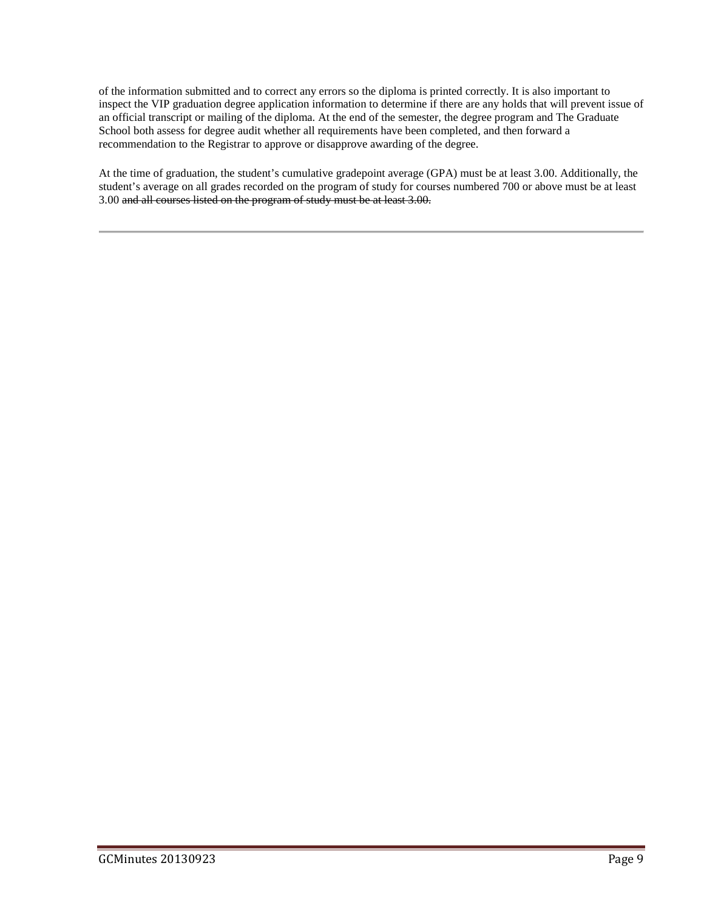of the information submitted and to correct any errors so the diploma is printed correctly. It is also important to inspect the VIP graduation degree application information to determine if there are any holds that will prevent issue of an official transcript or mailing of the diploma. At the end of the semester, the degree program and The Graduate School both assess for degree audit whether all requirements have been completed, and then forward a recommendation to the Registrar to approve or disapprove awarding of the degree.

At the time of graduation, the student's cumulative gradepoint average (GPA) must be at least 3.00. Additionally, the student's average on all grades recorded on the program of study for courses numbered 700 or above must be at least 3.00 and all courses listed on the program of study must be at least 3.00.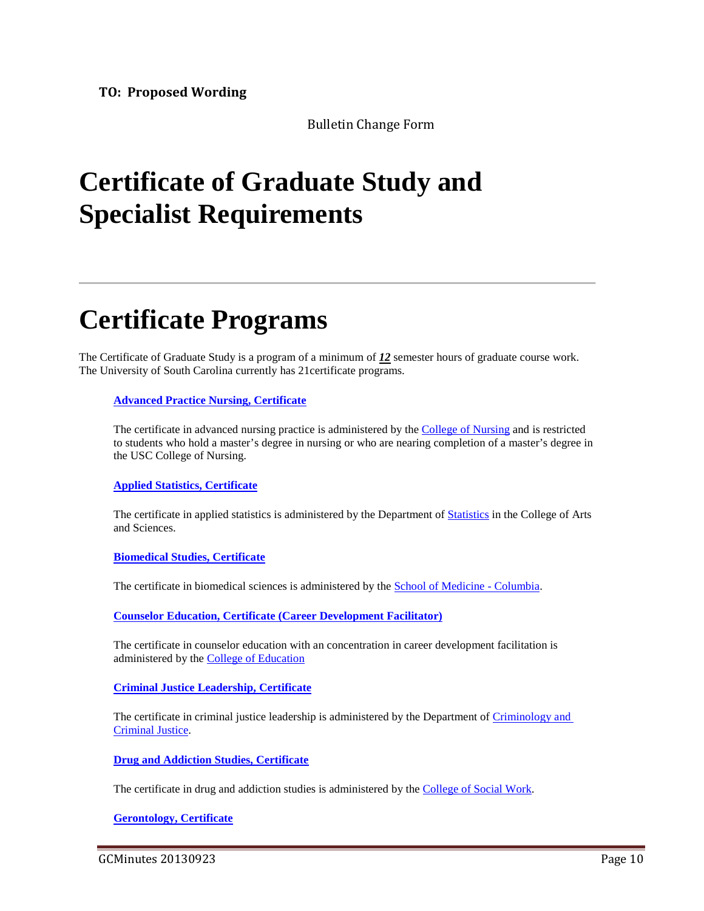Bulletin Change Form

# **Certificate of Graduate Study and Specialist Requirements**

# **Certificate Programs**

The Certificate of Graduate Study is a program of a minimum of *12* semester hours of graduate course work. The University of South Carolina currently has 21certificate programs.

#### **[Advanced Practice Nursing, Certificate](http://bulletin.sc.edu/preview_program.php?catoid=62&poid=5345)**

The certificate in advanced nursing practice is administered by the [College of Nursing](http://bulletin.sc.edu/preview_entity.php?catoid=62&ent_oid=1889) and is restricted to students who hold a master's degree in nursing or who are nearing completion of a master's degree in the USC College of Nursing.

#### **[Applied Statistics, Certificate](http://bulletin.sc.edu/preview_program.php?catoid=62&poid=5356)**

The certificate in applied statistics is administered by the Department of [Statistics](http://bulletin.sc.edu/preview_entity.php?catoid=62&ent_oid=1851) in the College of Arts and Sciences.

#### **[Biomedical Studies, Certificate](http://bulletin.sc.edu/preview_program.php?catoid=62&poid=5402)**

The certificate in biomedical sciences is administered by the [School of Medicine -](http://bulletin.sc.edu/preview_entity.php?catoid=62&ent_oid=1878) Columbia.

**[Counselor Education, Certificate \(Career Development Facilitator\)](http://bulletin.sc.edu/preview_program.php?catoid=62&poid=5453)**

The certificate in counselor education with an concentration in career development facilitation is administered by the [College of Education](http://bulletin.sc.edu/preview_entity.php?catoid=62&ent_oid=1856)

### **[Criminal Justice Leadership, Certificate](http://bulletin.sc.edu/preview_program.php?catoid=62&poid=5457)**

The certificate in criminal justice leadership is administered by the Department of Criminology and [Criminal Justice.](http://bulletin.sc.edu/preview_entity.php?catoid=62&ent_oid=1834)

**[Drug and Addiction Studies, Certificate](http://bulletin.sc.edu/preview_program.php?catoid=62&poid=5466)**

The certificate in drug and addiction studies is administered by the [College of Social Work.](http://bulletin.sc.edu/preview_entity.php?catoid=62&ent_oid=1900)

**[Gerontology, Certificate](http://bulletin.sc.edu/preview_program.php?catoid=62&poid=5554)**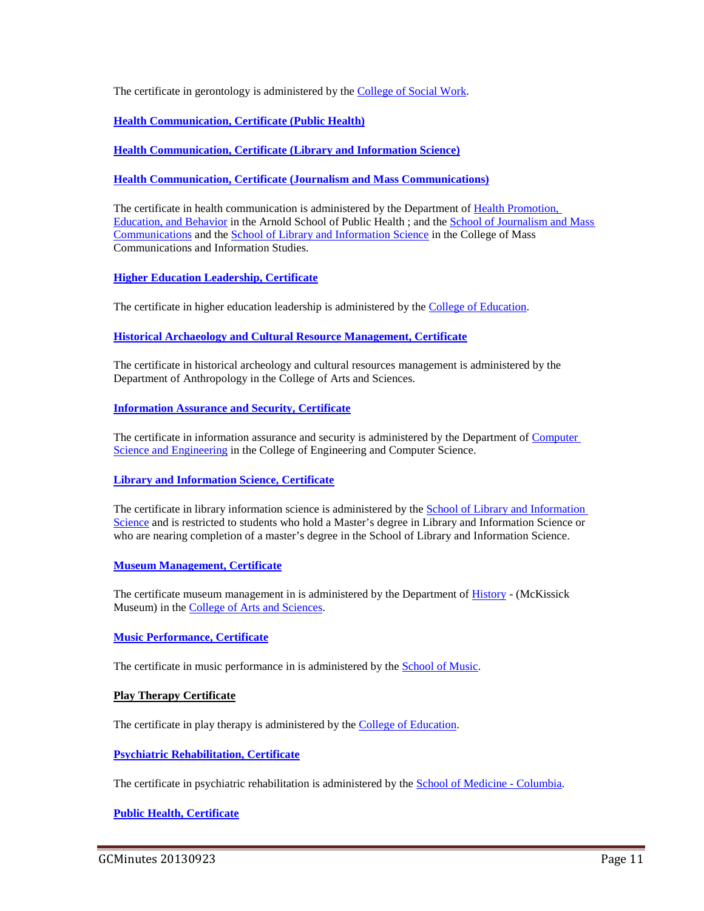The certificate in gerontology is administered by the [College of Social Work.](http://bulletin.sc.edu/preview_entity.php?catoid=62&ent_oid=1900)

**[Health Communication, Certificate \(Public Health\)](http://bulletin.sc.edu/preview_program.php?catoid=62&poid=5557)**

**[Health Communication, Certificate \(Library and Information Science\)](http://bulletin.sc.edu/preview_program.php?catoid=62&poid=5556)**

**[Health Communication, Certificate \(Journalism and Mass Communications\)](http://bulletin.sc.edu/preview_program.php?catoid=62&poid=5555)**

The certificate in health communication is administered by the Department of Health Promotion, [Education, and Behavior](http://bulletin.sc.edu/preview_entity.php?catoid=62&ent_oid=1897) in the Arnold School of Public Health ; and the [School of Journalism and Mass](http://bulletin.sc.edu/preview_entity.php?catoid=62&ent_oid=1876)  [Communications](http://bulletin.sc.edu/preview_entity.php?catoid=62&ent_oid=1876) and the [School of Library and Information Science](http://bulletin.sc.edu/preview_entity.php?catoid=62&ent_oid=1877) in the College of Mass Communications and Information Studies.

**[Higher Education Leadership, Certificate](http://bulletin.sc.edu/preview_program.php?catoid=62&poid=5570)**

The certificate in higher education leadership is administered by the [College of Education.](http://bulletin.sc.edu/preview_entity.php?catoid=62&ent_oid=1856)

**[Historical Archaeology and Cultural Resource Management, Certificate](http://bulletin.sc.edu/preview_program.php?catoid=62&poid=5571)**

The certificate in historical archeology and cultural resources management is administered by the Department of Anthropology in the College of Arts and Sciences.

**[Information Assurance and Security, Certificate](http://bulletin.sc.edu/preview_program.php?catoid=62&poid=5583)**

The certificate in information assurance and security is administered by the Department of [Computer](http://bulletin.sc.edu/preview_entity.php?catoid=62&ent_oid=1866)  [Science and Engineering](http://bulletin.sc.edu/preview_entity.php?catoid=62&ent_oid=1866) in the College of Engineering and Computer Science.

#### **[Library and Information Science, Certificate](http://bulletin.sc.edu/preview_program.php?catoid=62&poid=5622)**

The certificate in library information science is administered by the [School of Library and Information](http://bulletin.sc.edu/preview_entity.php?catoid=62&ent_oid=1877)  [Science](http://bulletin.sc.edu/preview_entity.php?catoid=62&ent_oid=1877) and is restricted to students who hold a Master's degree in Library and Information Science or who are nearing completion of a master's degree in the School of Library and Information Science.

#### **[Museum Management, Certificate](http://bulletin.sc.edu/preview_program.php?catoid=62&poid=5656)**

The certificate museum management in is administered by the Department o[f History](http://bulletin.sc.edu/preview_entity.php?catoid=62&ent_oid=1840) - (McKissick Museum) in the [College of Arts and Sciences.](http://bulletin.sc.edu/preview_entity.php?catoid=62&ent_oid=1828)

#### **[Music Performance, Certificate](http://bulletin.sc.edu/preview_program.php?catoid=62&poid=5667)**

The certificate in music performance in is administered by the **School of Music**.

#### **Play Therapy Certificate**

The certificate in play therapy is administered by the **College of Education**.

**[Psychiatric Rehabilitation, Certificate](http://bulletin.sc.edu/preview_program.php?catoid=62&poid=5723)**

The certificate in psychiatric rehabilitation is administered by the **School of Medicine** - Columbia.

#### **[Public Health, Certificate](http://bulletin.sc.edu/preview_program.php?catoid=62&poid=5731)**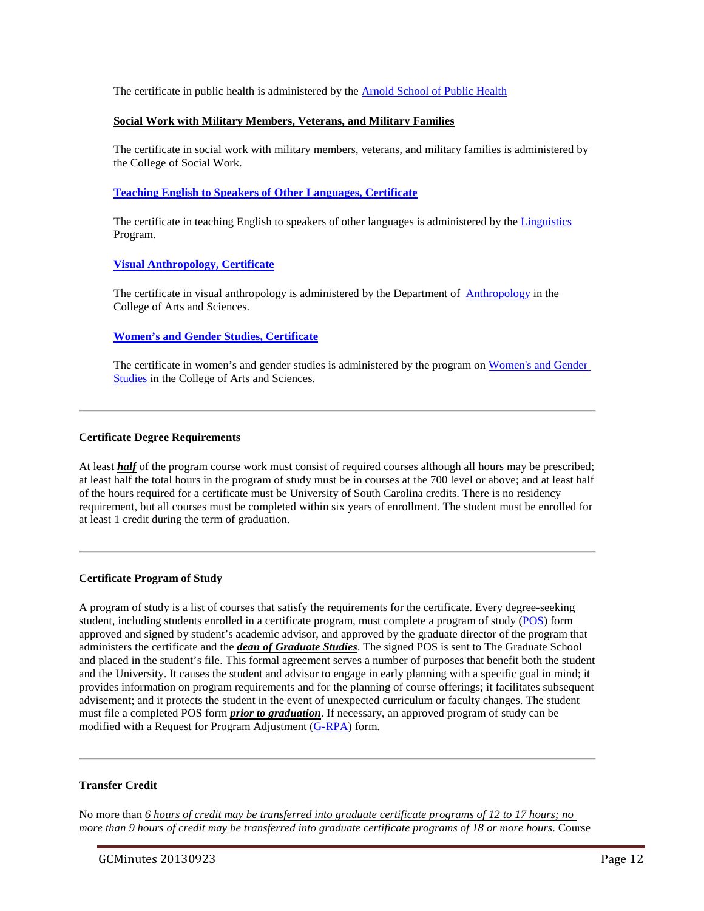The certificate in public health is administered by the [Arnold School of Public Health](http://bulletin.sc.edu/preview_entity.php?catoid=62&ent_oid=1892)

#### **Social Work with Military Members, Veterans, and Military Families**

The certificate in social work with military members, veterans, and military families is administered by the College of Social Work.

#### **[Teaching English to Speakers of Other Languages, Certificate](http://bulletin.sc.edu/preview_program.php?catoid=62&poid=5784)**

The certificate in teaching English to speakers of other languages is administered by the [Linguistics](http://bulletin.sc.edu/preview_entity.php?catoid=62&ent_oid=1842) Program.

#### **[Visual Anthropology, Certificate](http://bulletin.sc.edu/preview_program.php?catoid=62&poid=5794)**

The certificate in visual anthropology is administered by the Department of [Anthropology](http://bulletin.sc.edu/preview_entity.php?catoid=62&ent_oid=1830) in the College of Arts and Sciences.

#### **[Women's and Gender Studies, Certificate](http://bulletin.sc.edu/preview_program.php?catoid=62&poid=5798)**

The certificate in women's and gender studies is administered by the program on [Women's and Gender](http://bulletin.sc.edu/preview_entity.php?catoid=62&ent_oid=1853)  [Studies](http://bulletin.sc.edu/preview_entity.php?catoid=62&ent_oid=1853) in the College of Arts and Sciences.

#### **Certificate Degree Requirements**

At least **half** of the program course work must consist of required courses although all hours may be prescribed; at least half the total hours in the program of study must be in courses at the 700 level or above; and at least half of the hours required for a certificate must be University of South Carolina credits. There is no residency requirement, but all courses must be completed within six years of enrollment. The student must be enrolled for at least 1 credit during the term of graduation.

#### **Certificate Program of Study**

A program of study is a list of courses that satisfy the requirements for the certificate. Every degree-seeking student, including students enrolled in a certificate program, must complete a program of study [\(POS\)](http://gradschool.sc.edu/DocLibrary/documents/mastersprogramofstudy.pdf) form approved and signed by student's academic advisor, and approved by the graduate director of the program that administers the certificate and the *dean of Graduate Studies*. The signed POS is sent to The Graduate School and placed in the student's file. This formal agreement serves a number of purposes that benefit both the student and the University. It causes the student and advisor to engage in early planning with a specific goal in mind; it provides information on program requirements and for the planning of course offerings; it facilitates subsequent advisement; and it protects the student in the event of unexpected curriculum or faculty changes. The student must file a completed POS form *prior to graduation*. If necessary, an approved program of study can be modified with a Request for Program Adjustment [\(G-RPA\)](http://gradschool.sc.edu/DocLibrary/documents/programadjustmentform.pdf) form.

#### **Transfer Credit**

No more than *6 hours of credit may be transferred into graduate certificate programs of 12 to 17 hours; no more than 9 hours of credit may be transferred into graduate certificate programs of 18 or more hours*. Course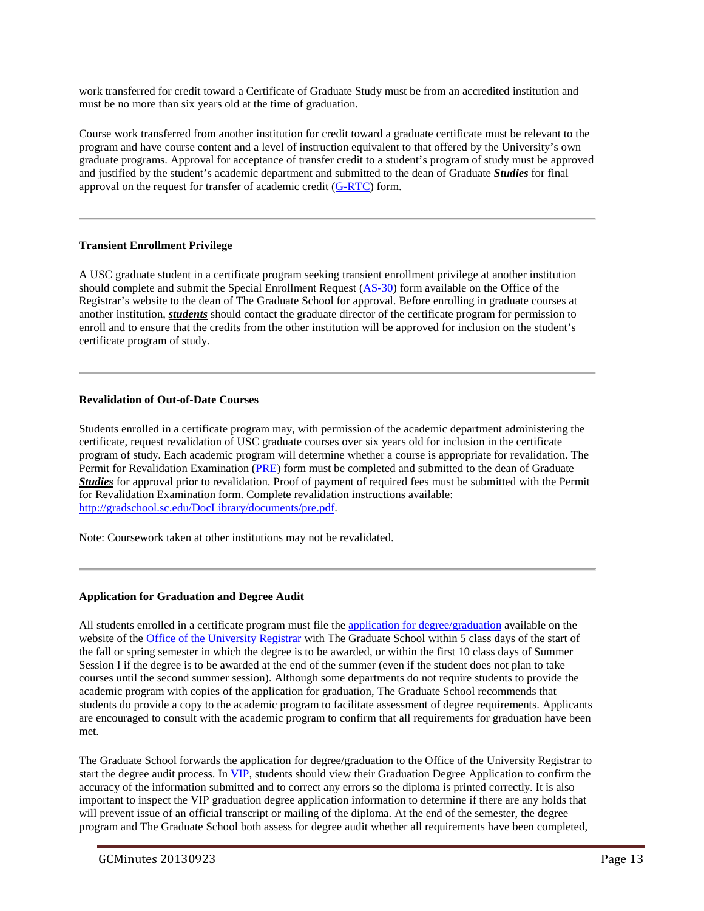work transferred for credit toward a Certificate of Graduate Study must be from an accredited institution and must be no more than six years old at the time of graduation.

Course work transferred from another institution for credit toward a graduate certificate must be relevant to the program and have course content and a level of instruction equivalent to that offered by the University's own graduate programs. Approval for acceptance of transfer credit to a student's program of study must be approved and justified by the student's academic department and submitted to the dean of Graduate *Studies* for final approval on the request for transfer of academic credit [\(G-RTC\)](http://gradschool.sc.edu/DocLibrary/documents/G-RTC.pdf) form.

#### **Transient Enrollment Privilege**

A USC graduate student in a certificate program seeking transient enrollment privilege at another institution should complete and submit the Special Enrollment Request [\(AS-30\)](http://registrar.sc.edu/pdf/AS-30e.pdf) form available on the Office of the Registrar's website to the dean of The Graduate School for approval. Before enrolling in graduate courses at another institution, *students* should contact the graduate director of the certificate program for permission to enroll and to ensure that the credits from the other institution will be approved for inclusion on the student's certificate program of study.

#### **Revalidation of Out-of-Date Courses**

Students enrolled in a certificate program may, with permission of the academic department administering the certificate, request revalidation of USC graduate courses over six years old for inclusion in the certificate program of study. Each academic program will determine whether a course is appropriate for revalidation. The Permit for Revalidation Examination [\(PRE\)](http://gradschool.sc.edu/DocLibrary/documents/pre.pdf) form must be completed and submitted to the dean of Graduate *Studies* for approval prior to revalidation. Proof of payment of required fees must be submitted with the Permit for Revalidation Examination form. Complete revalidation instructions available: [http://gradschool.sc.edu/DocLibrary/documents/pre.pdf.](http://gradschool.sc.edu/DocLibrary/documents/pre.pdf)

Note: Coursework taken at other institutions may not be revalidated.

#### **Application for Graduation and Degree Audit**

All students enrolled in a certificate program must file the [application for degree/graduation](http://registrar.sc.edu/pdf/DegreeApp.pdf) available on the website of the [Office of the University Registrar](http://registrar.sc.edu/) with The Graduate School within 5 class days of the start of the fall or spring semester in which the degree is to be awarded, or within the first 10 class days of Summer Session I if the degree is to be awarded at the end of the summer (even if the student does not plan to take courses until the second summer session). Although some departments do not require students to provide the academic program with copies of the application for graduation, The Graduate School recommends that students do provide a copy to the academic program to facilitate assessment of degree requirements. Applicants are encouraged to consult with the academic program to confirm that all requirements for graduation have been met.

The Graduate School forwards the application for degree/graduation to the Office of the University Registrar to start the degree audit process. I[n VIP,](https://vip.sc.edu/) students should view their Graduation Degree Application to confirm the accuracy of the information submitted and to correct any errors so the diploma is printed correctly. It is also important to inspect the VIP graduation degree application information to determine if there are any holds that will prevent issue of an official transcript or mailing of the diploma. At the end of the semester, the degree program and The Graduate School both assess for degree audit whether all requirements have been completed,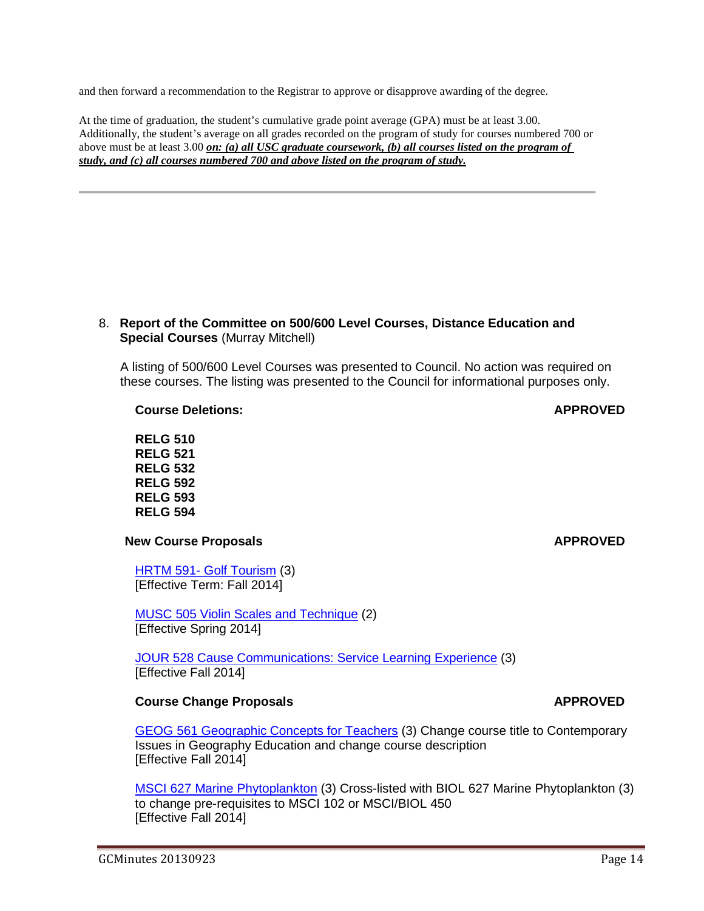and then forward a recommendation to the Registrar to approve or disapprove awarding of the degree.

At the time of graduation, the student's cumulative grade point average (GPA) must be at least 3.00. Additionally, the student's average on all grades recorded on the program of study for courses numbered 700 or above must be at least 3.00 *on: (a) all USC graduate coursework, (b) all courses listed on the program of study, and (c) all courses numbered 700 and above listed on the program of study.*

## 8. **Report of the Committee on 500/600 Level Courses, Distance Education and Special Courses** (Murray Mitchell)

A listing of 500/600 Level Courses was presented to Council. No action was required on these courses. The listing was presented to the Council for informational purposes only.

**Course Deletions: APPROVED**

**RELG 510 RELG 521 RELG 532 RELG 592 RELG 593 RELG 594**

# **New Course Proposals APPROVED**

HRTM 591- Golf Tourism (3) [Effective Term: Fall 2014]

MUSC 505 Violin Scales and Technique (2) [Effective Spring 2014]

JOUR 528 Cause Communications: Service Learning Experience (3) [Effective Fall 2014]

# **Course Change Proposals APPROVED**

GEOG 561 Geographic Concepts for Teachers (3) Change course title to Contemporary Issues in Geography Education and change course description [Effective Fall 2014]

MSCI 627 Marine Phytoplankton (3) Cross-listed with BIOL 627 Marine Phytoplankton (3) to change pre-requisites to MSCI 102 or MSCI/BIOL 450 [Effective Fall 2014]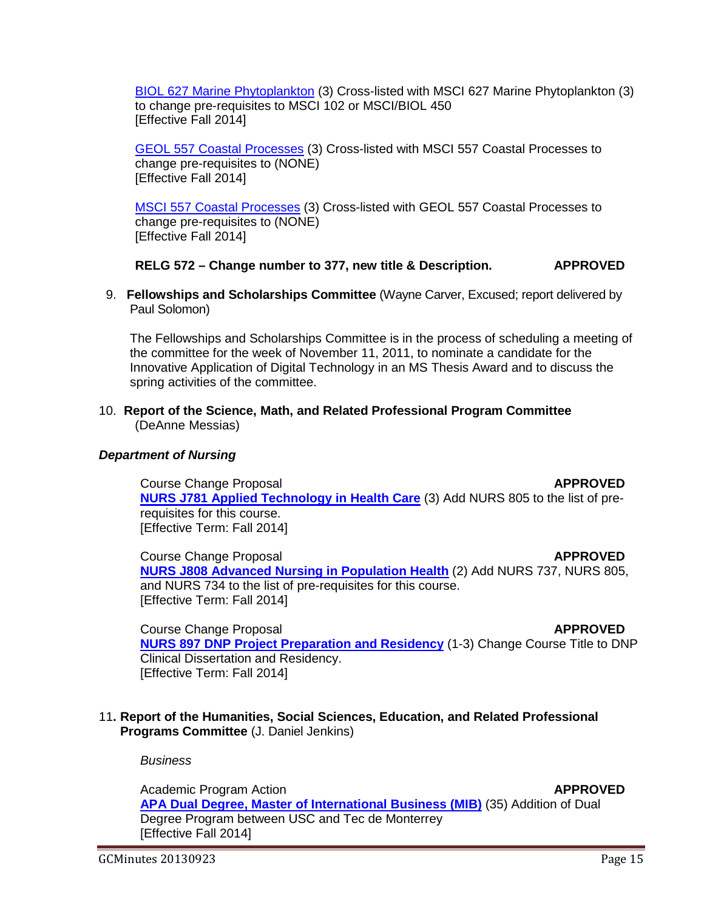BIOL 627 Marine Phytoplankton (3) Cross-listed with MSCI 627 Marine Phytoplankton (3) to change pre-requisites to MSCI 102 or MSCI/BIOL 450 [Effective Fall 2014]

GEOL 557 Coastal Processes (3) Cross-listed with MSCI 557 Coastal Processes to change pre-requisites to (NONE) [Effective Fall 2014]

MSCI 557 Coastal Processes (3) Cross-listed with GEOL 557 Coastal Processes to change pre-requisites to (NONE) [Effective Fall 2014]

# **RELG 572 – Change number to 377, new title & Description. APPROVED**

 9. **Fellowships and Scholarships Committee** (Wayne Carver, Excused; report delivered by Paul Solomon)

The Fellowships and Scholarships Committee is in the process of scheduling a meeting of the committee for the week of November 11, 2011, to nominate a candidate for the Innovative Application of Digital Technology in an MS Thesis Award and to discuss the spring activities of the committee.

10. **Report of the Science, Math, and Related Professional Program Committee** (DeAnne Messias)

# *Department of Nursing*

**Course Change Proposal** *APPROVED* **[NURS J781 Applied Technology in Health Care](http://gradschool.sc.edu/facstaff/gradcouncil/2013/nurs%20j781%20ccp_Redacted.pdf)** (3) Add NURS 805 to the list of prerequisites for this course. [Effective Term: Fall 2014]

**Course Change Proposal** *APPROVED* **[NURS J808 Advanced Nursing in Population Health](http://gradschool.sc.edu/facstaff/gradcouncil/2013/nurs%20j808%20ccp_Redacted.pdf)** (2) Add NURS 737, NURS 805, and NURS 734 to the list of pre-requisites for this course. [Effective Term: Fall 2014]

**Course Change Proposal** *APPROVED* **[NURS 897 DNP Project Preparation and Residency](http://gradschool.sc.edu/facstaff/gradcouncil/2013/NURS%20897%20CCP_Redacted.pdf)** (1-3) Change Course Title to DNP Clinical Dissertation and Residency. [Effective Term: Fall 2014]

# 11**. Report of the Humanities, Social Sciences, Education, and Related Professional Programs Committee** (J. Daniel Jenkins)

*Business*

Academic Program Action **APPROVED [APA Dual Degree, Master of International Business \(MIB\)](http://gradschool.sc.edu/facstaff/gradcouncil/2013/APA%20Dual%20Degree%20Master%20of%20Intl%20Business-MIB_Redacted.pdf)** (35) Addition of Dual Degree Program between USC and Tec de Monterrey [Effective Fall 2014]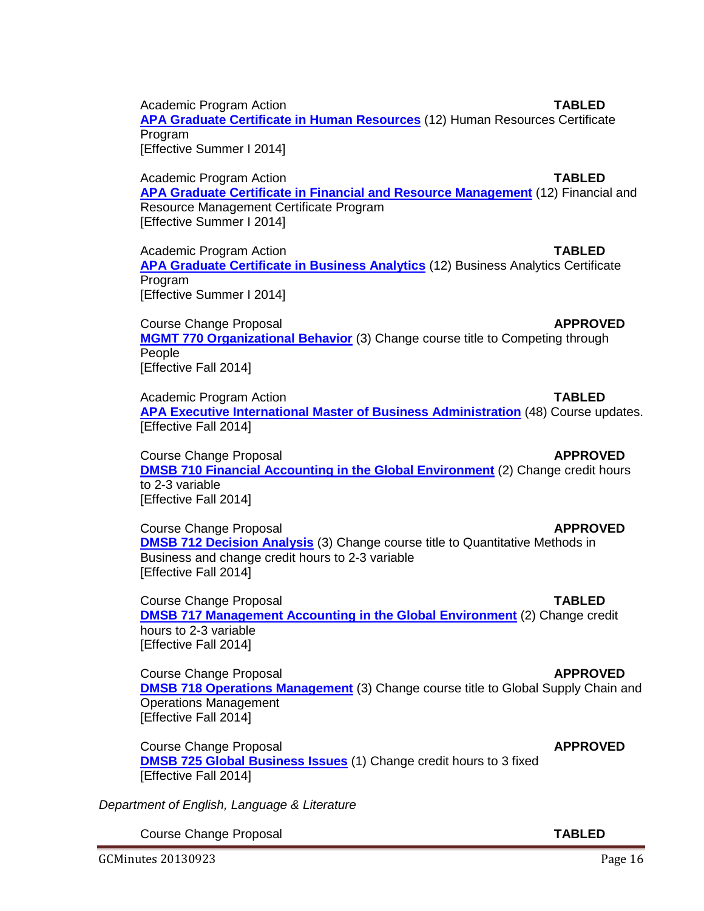Academic Program Action **TABLED**

**[APA Graduate Certificate in Human Resources](http://gradschool.sc.edu/facstaff/gradcouncil/2013/APA%20Grad%20Cert%20HR_Redacted.pdf)** (12) Human Resources Certificate Program [Effective Summer I 2014]

Academic Program Action **TABLED [APA Graduate Certificate in Financial and Resource Management](http://gradschool.sc.edu/facstaff/gradcouncil/2013/APA%20Financial%20and%20Resource%20Mgmt.pdf)** (12) Financial and Resource Management Certificate Program [Effective Summer I 2014]

Academic Program Action **TABLED [APA Graduate Certificate in Business Analytics](http://gradschool.sc.edu/facstaff/gradcouncil/2013/APA%20Graduate%20Certificate%20in%20Business%20Analytics_Redacted.pdf)** (12) Business Analytics Certificate Program [Effective Summer I 2014]

Course Change Proposal **APPROVED [MGMT 770 Organizational Behavior](http://gradschool.sc.edu/facstaff/gradcouncil/2013/CCP%20Mgmt%20770%20Organizational%20Behavior_Redacted.pdf)** (3) Change course title to Competing through People [Effective Fall 2014]

Academic Program Action **TABLED [APA Executive International Master of Business Administration](http://gradschool.sc.edu/facstaff/gradcouncil/2013/APA%20Executive%20International%20Master%20of%20Business%20Administration_Redacted.pdf)** (48) Course updates. [Effective Fall 2014]

Course Change Proposal **APPROVED [DMSB 710 Financial Accounting in the Global Environment](http://gradschool.sc.edu/facstaff/gradcouncil/2013/CCP%20DMSB%20710_Redacted.pdf)** (2) Change credit hours to 2-3 variable [Effective Fall 2014]

Course Change Proposal **APPROVED [DMSB 712 Decision Analysis](http://gradschool.sc.edu/facstaff/gradcouncil/2013/DMSB%20712%20Decision%20Analysis_Redacted.pdf)** (3) Change course title to Quantitative Methods in Business and change credit hours to 2-3 variable [Effective Fall 2014]

Course Change Proposal **TABLED [DMSB 717 Management Accounting in the Global Environment](http://gradschool.sc.edu/facstaff/gradcouncil/2013/DMSB%20717_Redacted.pdf)** (2) Change credit hours to 2-3 variable [Effective Fall 2014]

Course Change Proposal **APPROVED [DMSB 718 Operations Management](http://gradschool.sc.edu/facstaff/gradcouncil/2013/DMSB%20718_Redacted.pdf)** (3) Change course title to Global Supply Chain and Operations Management [Effective Fall 2014]

Course Change Proposal **APPROVED [DMSB 725 Global Business Issues](http://gradschool.sc.edu/facstaff/gradcouncil/2013/DMSB%20725_Redacted.pdf)** (1) Change credit hours to 3 fixed [Effective Fall 2014]

*Department of English, Language & Literature*

Course Change Proposal **TABLED**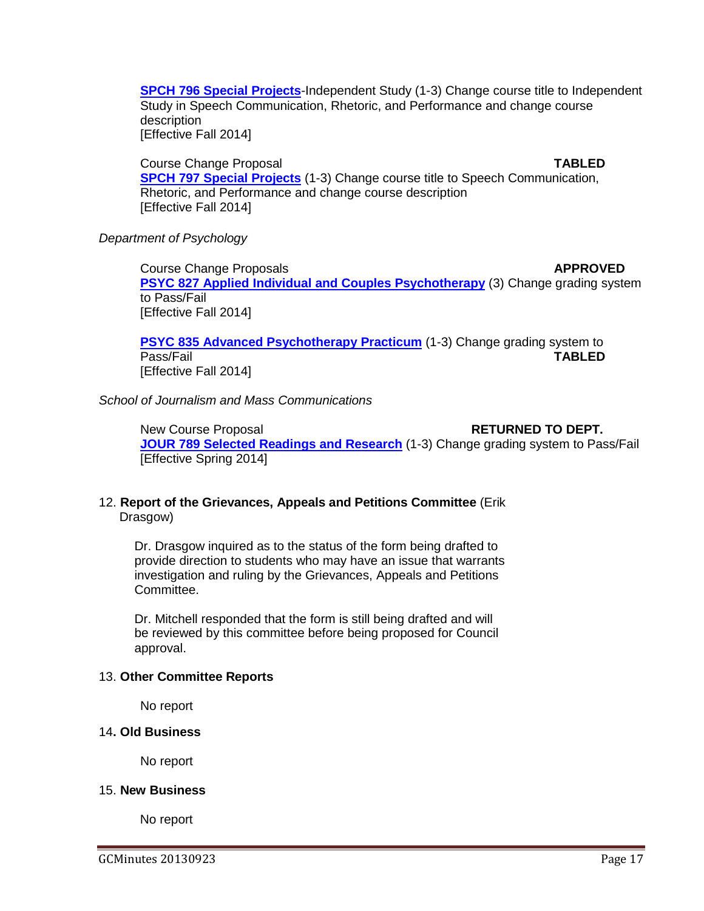**[SPCH 796 Special Projects](http://gradschool.sc.edu/facstaff/gradcouncil/2013/814%20CCP%20SPCH%20796_Redacted.pdf)**-Independent Study (1-3) Change course title to Independent Study in Speech Communication, Rhetoric, and Performance and change course description

[Effective Fall 2014]

Course Change Proposal **TABLED [SPCH 797 Special Projects](http://gradschool.sc.edu/facstaff/gradcouncil/2013/814%20CCP%20SPCH%20797%20BCH%20JUS_Redacted.pdf)** (1-3) Change course title to Speech Communication, Rhetoric, and Performance and change course description [Effective Fall 2014]

# *Department of Psychology*

**Course Change Proposals <b>APPROVED APPROVED [PSYC 827 Applied Individual and Couples Psychotherapy](http://gradschool.sc.edu/facstaff/gradcouncil/2013/PSYC%20827%20CCP%20w-new%20syll_Redacted.pdf)** (3) Change grading system to Pass/Fail [Effective Fall 2014]

**[PSYC 835 Advanced Psychotherapy Practicum](http://gradschool.sc.edu/facstaff/gradcouncil/2013/PSYC%20835%20CCP%20w%20new%20syll_Redacted.pdf)** (1-3) Change grading system to Pass/Fail **TABLED** [Effective Fall 2014]

*School of Journalism and Mass Communications*

New Course Proposal **RETURNED TO DEPT. [JOUR 789 Selected Readings and Research](http://gradschool.sc.edu/facstaff/gradcouncil/2013/JOUR%20789%20NCP%207-30-13_Redacted.pdf)** (1-3) Change grading system to Pass/Fail [Effective Spring 2014]

# 12. **Report of the Grievances, Appeals and Petitions Committee** (Erik Drasgow)

Dr. Drasgow inquired as to the status of the form being drafted to provide direction to students who may have an issue that warrants investigation and ruling by the Grievances, Appeals and Petitions Committee.

Dr. Mitchell responded that the form is still being drafted and will be reviewed by this committee before being proposed for Council approval.

# 13. **Other Committee Reports**

No report

# 14**. Old Business**

No report

# 15. **New Business**

No report